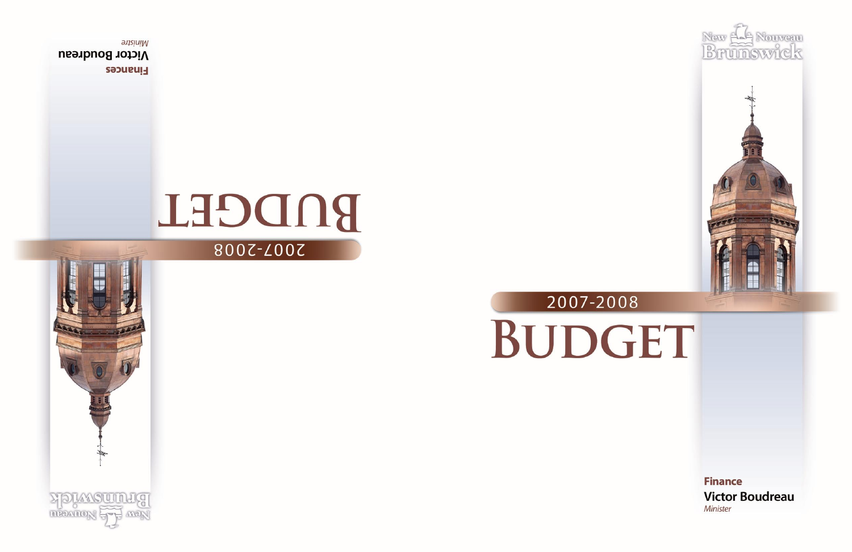



# 2007-2008 BUDGET

**Finance Victor Boudreau** Minister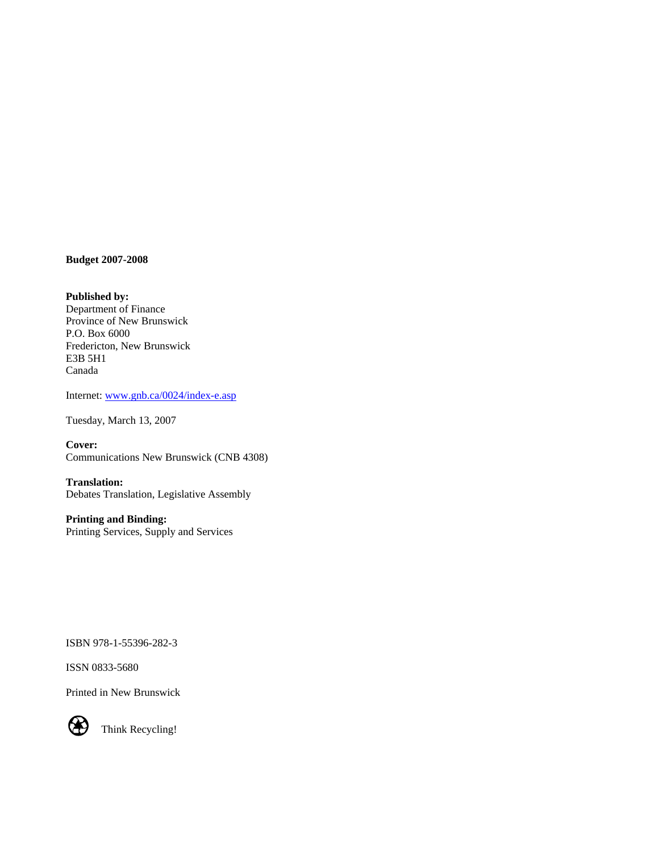**Budget 2007-2008** 

**Published by:**  Department of Finance Province of New Brunswick P.O. Box 6000 Fredericton, New Brunswick E3B 5H1 Canada

Internet: [www.gnb.ca/0024/index-e.asp](http://www.gnb.ca/0024/index-e.asp)

Tuesday, March 13, 2007

**Cover:**  Communications New Brunswick (CNB 4308)

**Translation:**  Debates Translation, Legislative Assembly

**Printing and Binding:**  Printing Services, Supply and Services

ISBN 978-1-55396-282-3

ISSN 0833-5680

Printed in New Brunswick



Think Recycling!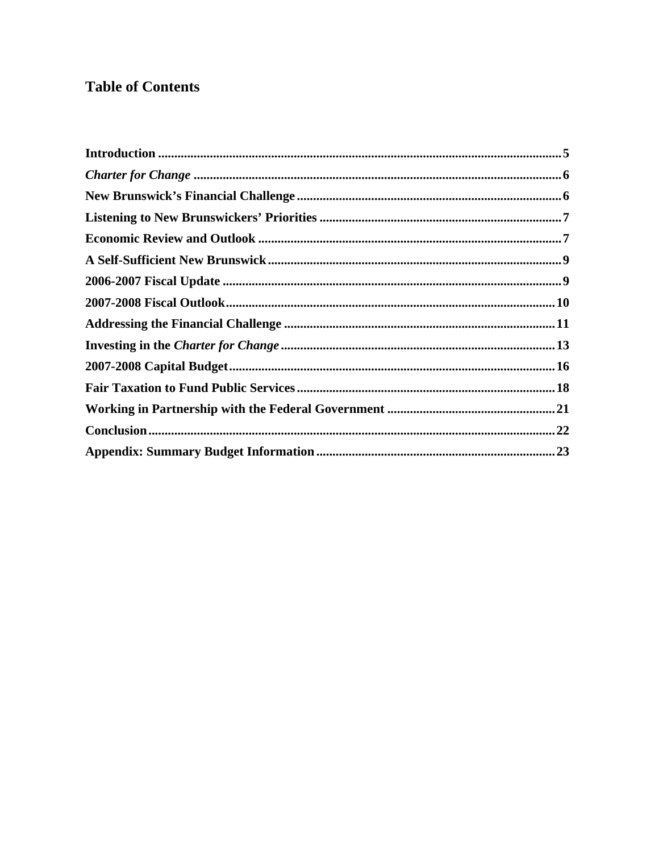## **Table of Contents**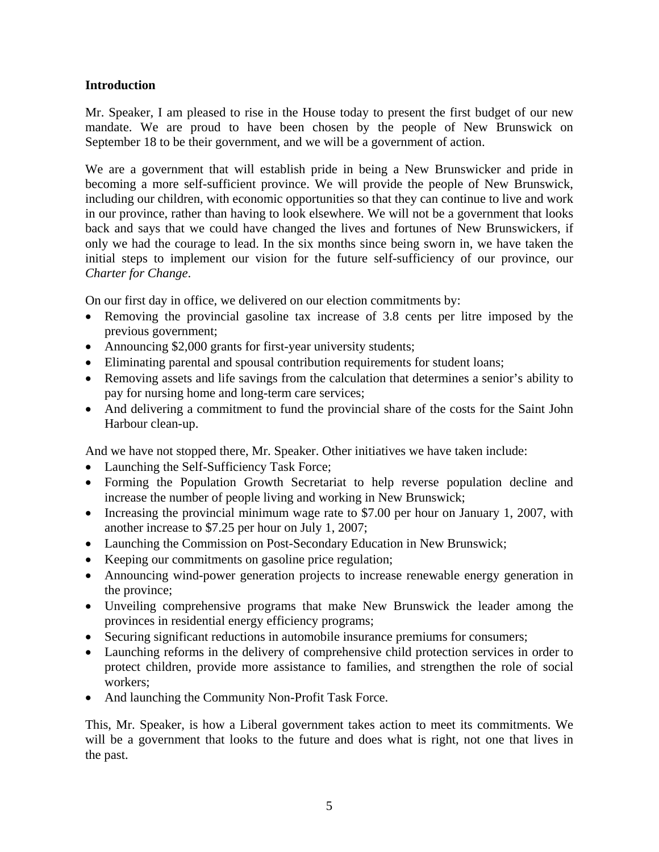## <span id="page-4-0"></span>**Introduction**

Mr. Speaker, I am pleased to rise in the House today to present the first budget of our new mandate. We are proud to have been chosen by the people of New Brunswick on September 18 to be their government, and we will be a government of action.

We are a government that will establish pride in being a New Brunswicker and pride in becoming a more self-sufficient province. We will provide the people of New Brunswick, including our children, with economic opportunities so that they can continue to live and work in our province, rather than having to look elsewhere. We will not be a government that looks back and says that we could have changed the lives and fortunes of New Brunswickers, if only we had the courage to lead. In the six months since being sworn in, we have taken the initial steps to implement our vision for the future self-sufficiency of our province, our *Charter for Change*.

On our first day in office, we delivered on our election commitments by:

- Removing the provincial gasoline tax increase of 3.8 cents per litre imposed by the previous government;
- Announcing \$2,000 grants for first-year university students;
- Eliminating parental and spousal contribution requirements for student loans;
- Removing assets and life savings from the calculation that determines a senior's ability to pay for nursing home and long-term care services;
- And delivering a commitment to fund the provincial share of the costs for the Saint John Harbour clean-up.

And we have not stopped there, Mr. Speaker. Other initiatives we have taken include:

- Launching the Self-Sufficiency Task Force;
- Forming the Population Growth Secretariat to help reverse population decline and increase the number of people living and working in New Brunswick;
- Increasing the provincial minimum wage rate to \$7.00 per hour on January 1, 2007, with another increase to \$7.25 per hour on July 1, 2007;
- Launching the Commission on Post-Secondary Education in New Brunswick;
- Keeping our commitments on gasoline price regulation;
- Announcing wind-power generation projects to increase renewable energy generation in the province;
- Unveiling comprehensive programs that make New Brunswick the leader among the provinces in residential energy efficiency programs;
- Securing significant reductions in automobile insurance premiums for consumers;
- Launching reforms in the delivery of comprehensive child protection services in order to protect children, provide more assistance to families, and strengthen the role of social workers;
- And launching the Community Non-Profit Task Force.

This, Mr. Speaker, is how a Liberal government takes action to meet its commitments. We will be a government that looks to the future and does what is right, not one that lives in the past.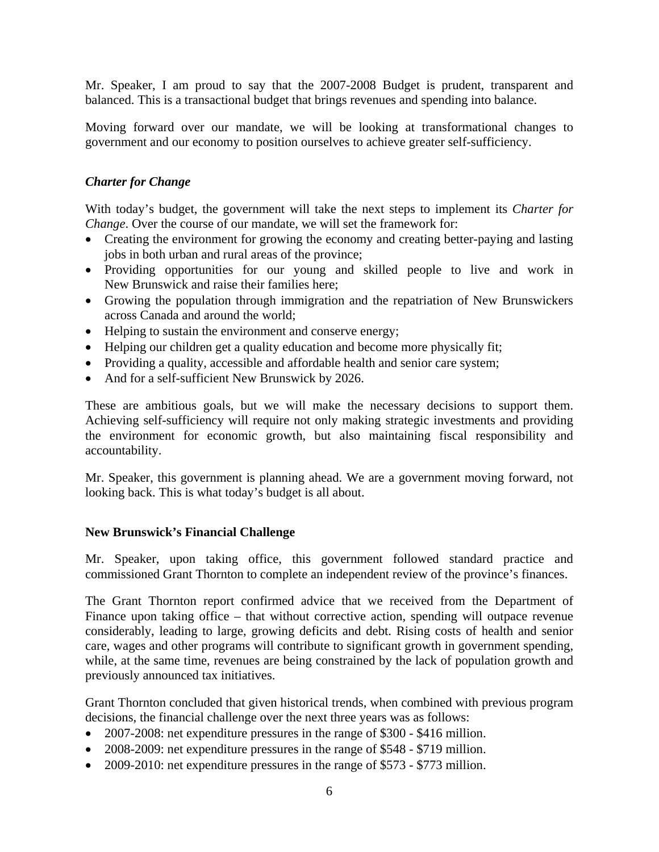<span id="page-5-0"></span>Mr. Speaker, I am proud to say that the 2007-2008 Budget is prudent, transparent and balanced. This is a transactional budget that brings revenues and spending into balance.

Moving forward over our mandate, we will be looking at transformational changes to government and our economy to position ourselves to achieve greater self-sufficiency.

## *Charter for Change*

With today's budget, the government will take the next steps to implement its *Charter for Change*. Over the course of our mandate, we will set the framework for:

- Creating the environment for growing the economy and creating better-paying and lasting jobs in both urban and rural areas of the province;
- Providing opportunities for our young and skilled people to live and work in New Brunswick and raise their families here;
- Growing the population through immigration and the repatriation of New Brunswickers across Canada and around the world;
- Helping to sustain the environment and conserve energy;
- Helping our children get a quality education and become more physically fit;
- Providing a quality, accessible and affordable health and senior care system;
- And for a self-sufficient New Brunswick by 2026.

These are ambitious goals, but we will make the necessary decisions to support them. Achieving self-sufficiency will require not only making strategic investments and providing the environment for economic growth, but also maintaining fiscal responsibility and accountability.

Mr. Speaker, this government is planning ahead. We are a government moving forward, not looking back. This is what today's budget is all about.

#### **New Brunswick's Financial Challenge**

Mr. Speaker, upon taking office, this government followed standard practice and commissioned Grant Thornton to complete an independent review of the province's finances.

The Grant Thornton report confirmed advice that we received from the Department of Finance upon taking office – that without corrective action, spending will outpace revenue considerably, leading to large, growing deficits and debt. Rising costs of health and senior care, wages and other programs will contribute to significant growth in government spending, while, at the same time, revenues are being constrained by the lack of population growth and previously announced tax initiatives.

Grant Thornton concluded that given historical trends, when combined with previous program decisions, the financial challenge over the next three years was as follows:

- 2007-2008: net expenditure pressures in the range of \$300 \$416 million.
- 2008-2009: net expenditure pressures in the range of \$548 \$719 million.
- 2009-2010: net expenditure pressures in the range of \$573 \$773 million.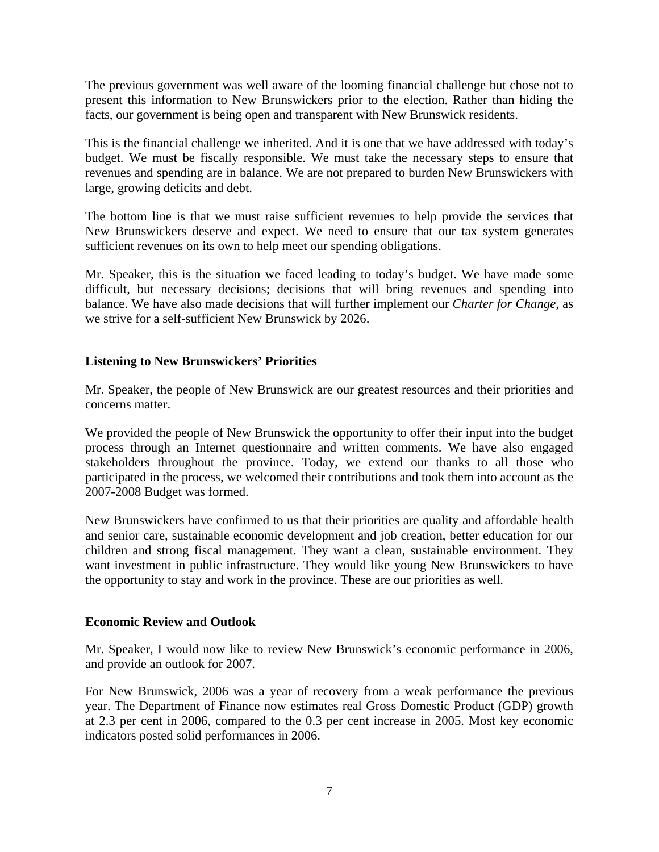<span id="page-6-0"></span>The previous government was well aware of the looming financial challenge but chose not to present this information to New Brunswickers prior to the election. Rather than hiding the facts, our government is being open and transparent with New Brunswick residents.

This is the financial challenge we inherited. And it is one that we have addressed with today's budget. We must be fiscally responsible. We must take the necessary steps to ensure that revenues and spending are in balance. We are not prepared to burden New Brunswickers with large, growing deficits and debt.

The bottom line is that we must raise sufficient revenues to help provide the services that New Brunswickers deserve and expect. We need to ensure that our tax system generates sufficient revenues on its own to help meet our spending obligations.

Mr. Speaker, this is the situation we faced leading to today's budget. We have made some difficult, but necessary decisions; decisions that will bring revenues and spending into balance. We have also made decisions that will further implement our *Charter for Change*, as we strive for a self-sufficient New Brunswick by 2026.

#### **Listening to New Brunswickers' Priorities**

Mr. Speaker, the people of New Brunswick are our greatest resources and their priorities and concerns matter.

We provided the people of New Brunswick the opportunity to offer their input into the budget process through an Internet questionnaire and written comments. We have also engaged stakeholders throughout the province. Today, we extend our thanks to all those who participated in the process, we welcomed their contributions and took them into account as the 2007-2008 Budget was formed.

New Brunswickers have confirmed to us that their priorities are quality and affordable health and senior care, sustainable economic development and job creation, better education for our children and strong fiscal management. They want a clean, sustainable environment. They want investment in public infrastructure. They would like young New Brunswickers to have the opportunity to stay and work in the province. These are our priorities as well.

#### **Economic Review and Outlook**

Mr. Speaker, I would now like to review New Brunswick's economic performance in 2006, and provide an outlook for 2007.

For New Brunswick, 2006 was a year of recovery from a weak performance the previous year. The Department of Finance now estimates real Gross Domestic Product (GDP) growth at 2.3 per cent in 2006, compared to the 0.3 per cent increase in 2005. Most key economic indicators posted solid performances in 2006.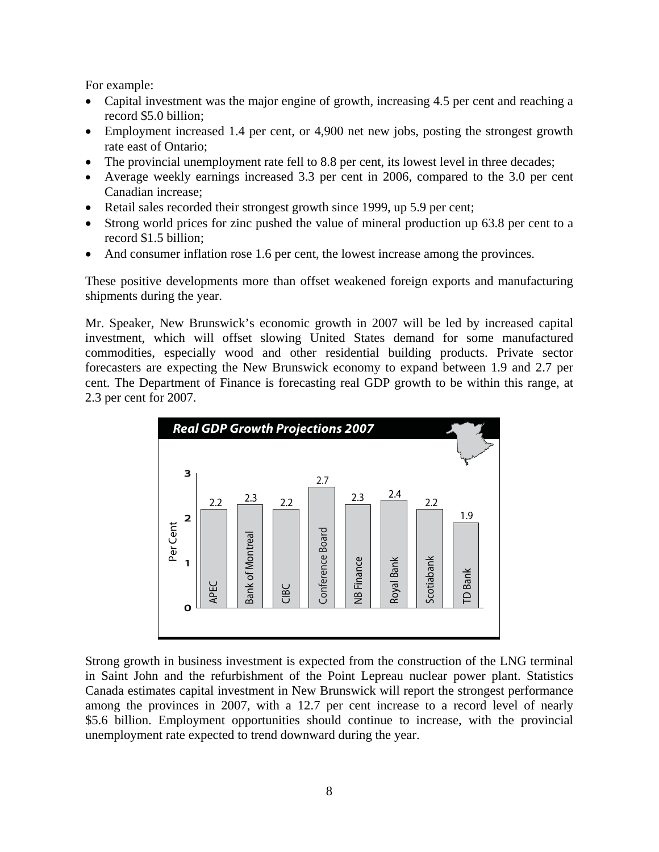For example:

- Capital investment was the major engine of growth, increasing 4.5 per cent and reaching a record \$5.0 billion;
- Employment increased 1.4 per cent, or 4,900 net new jobs, posting the strongest growth rate east of Ontario;
- The provincial unemployment rate fell to 8.8 per cent, its lowest level in three decades;
- Average weekly earnings increased 3.3 per cent in 2006, compared to the 3.0 per cent Canadian increase;
- Retail sales recorded their strongest growth since 1999, up 5.9 per cent;
- Strong world prices for zinc pushed the value of mineral production up 63.8 per cent to a record \$1.5 billion;
- And consumer inflation rose 1.6 per cent, the lowest increase among the provinces.

These positive developments more than offset weakened foreign exports and manufacturing shipments during the year.

Mr. Speaker, New Brunswick's economic growth in 2007 will be led by increased capital investment, which will offset slowing United States demand for some manufactured commodities, especially wood and other residential building products. Private sector forecasters are expecting the New Brunswick economy to expand between 1.9 and 2.7 per cent. The Department of Finance is forecasting real GDP growth to be within this range, at 2.3 per cent for 2007.



Strong growth in business investment is expected from the construction of the LNG terminal in Saint John and the refurbishment of the Point Lepreau nuclear power plant. Statistics Canada estimates capital investment in New Brunswick will report the strongest performance among the provinces in 2007, with a 12.7 per cent increase to a record level of nearly \$5.6 billion. Employment opportunities should continue to increase, with the provincial unemployment rate expected to trend downward during the year.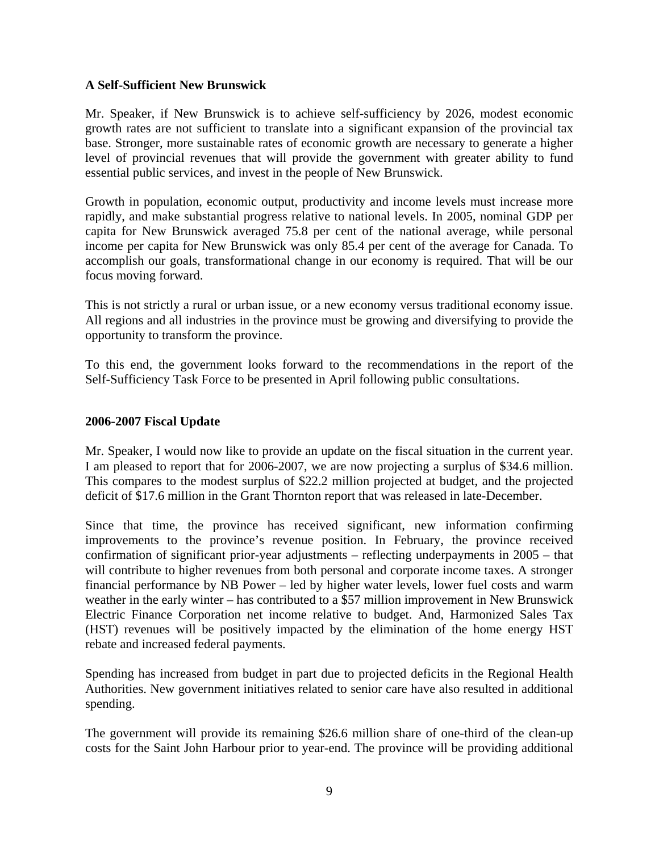#### <span id="page-8-0"></span>**A Self-Sufficient New Brunswick**

Mr. Speaker, if New Brunswick is to achieve self-sufficiency by 2026, modest economic growth rates are not sufficient to translate into a significant expansion of the provincial tax base. Stronger, more sustainable rates of economic growth are necessary to generate a higher level of provincial revenues that will provide the government with greater ability to fund essential public services, and invest in the people of New Brunswick.

Growth in population, economic output, productivity and income levels must increase more rapidly, and make substantial progress relative to national levels. In 2005, nominal GDP per capita for New Brunswick averaged 75.8 per cent of the national average, while personal income per capita for New Brunswick was only 85.4 per cent of the average for Canada. To accomplish our goals, transformational change in our economy is required. That will be our focus moving forward.

This is not strictly a rural or urban issue, or a new economy versus traditional economy issue. All regions and all industries in the province must be growing and diversifying to provide the opportunity to transform the province.

To this end, the government looks forward to the recommendations in the report of the Self-Sufficiency Task Force to be presented in April following public consultations.

#### **2006-2007 Fiscal Update**

Mr. Speaker, I would now like to provide an update on the fiscal situation in the current year. I am pleased to report that for 2006-2007, we are now projecting a surplus of \$34.6 million. This compares to the modest surplus of \$22.2 million projected at budget, and the projected deficit of \$17.6 million in the Grant Thornton report that was released in late-December.

Since that time, the province has received significant, new information confirming improvements to the province's revenue position. In February, the province received confirmation of significant prior-year adjustments – reflecting underpayments in 2005 – that will contribute to higher revenues from both personal and corporate income taxes. A stronger financial performance by NB Power – led by higher water levels, lower fuel costs and warm weather in the early winter – has contributed to a \$57 million improvement in New Brunswick Electric Finance Corporation net income relative to budget. And, Harmonized Sales Tax (HST) revenues will be positively impacted by the elimination of the home energy HST rebate and increased federal payments.

Spending has increased from budget in part due to projected deficits in the Regional Health Authorities. New government initiatives related to senior care have also resulted in additional spending.

The government will provide its remaining \$26.6 million share of one-third of the clean-up costs for the Saint John Harbour prior to year-end. The province will be providing additional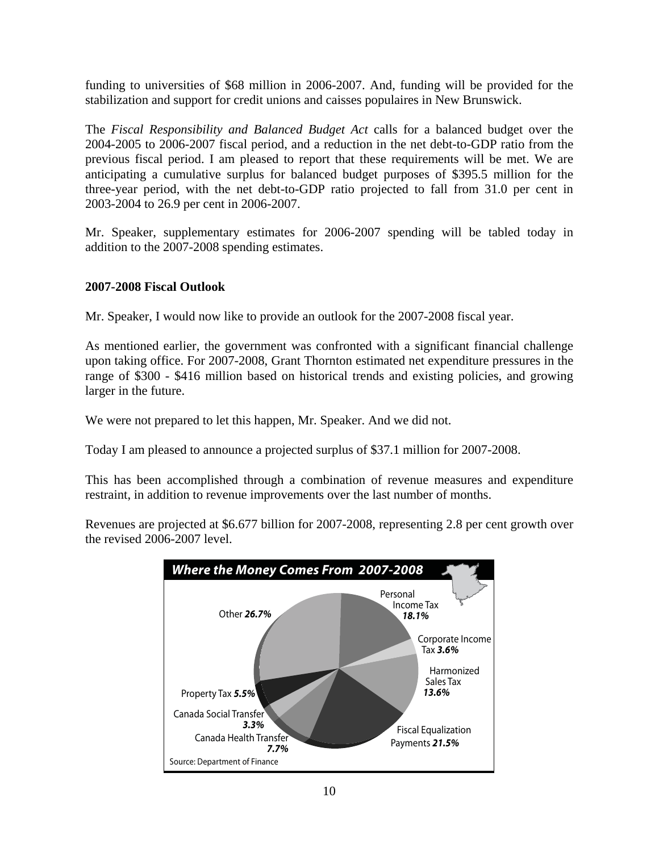<span id="page-9-0"></span>funding to universities of \$68 million in 2006-2007. And, funding will be provided for the stabilization and support for credit unions and caisses populaires in New Brunswick.

The *Fiscal Responsibility and Balanced Budget Act* calls for a balanced budget over the 2004-2005 to 2006-2007 fiscal period, and a reduction in the net debt-to-GDP ratio from the previous fiscal period. I am pleased to report that these requirements will be met. We are anticipating a cumulative surplus for balanced budget purposes of \$395.5 million for the three-year period, with the net debt-to-GDP ratio projected to fall from 31.0 per cent in 2003-2004 to 26.9 per cent in 2006-2007.

Mr. Speaker, supplementary estimates for 2006-2007 spending will be tabled today in addition to the 2007-2008 spending estimates.

## **2007-2008 Fiscal Outlook**

Mr. Speaker, I would now like to provide an outlook for the 2007-2008 fiscal year.

As mentioned earlier, the government was confronted with a significant financial challenge upon taking office. For 2007-2008, Grant Thornton estimated net expenditure pressures in the range of \$300 - \$416 million based on historical trends and existing policies, and growing larger in the future.

We were not prepared to let this happen, Mr. Speaker. And we did not.

Today I am pleased to announce a projected surplus of \$37.1 million for 2007-2008.

This has been accomplished through a combination of revenue measures and expenditure restraint, in addition to revenue improvements over the last number of months.

Revenues are projected at \$6.677 billion for 2007-2008, representing 2.8 per cent growth over the revised 2006-2007 level.

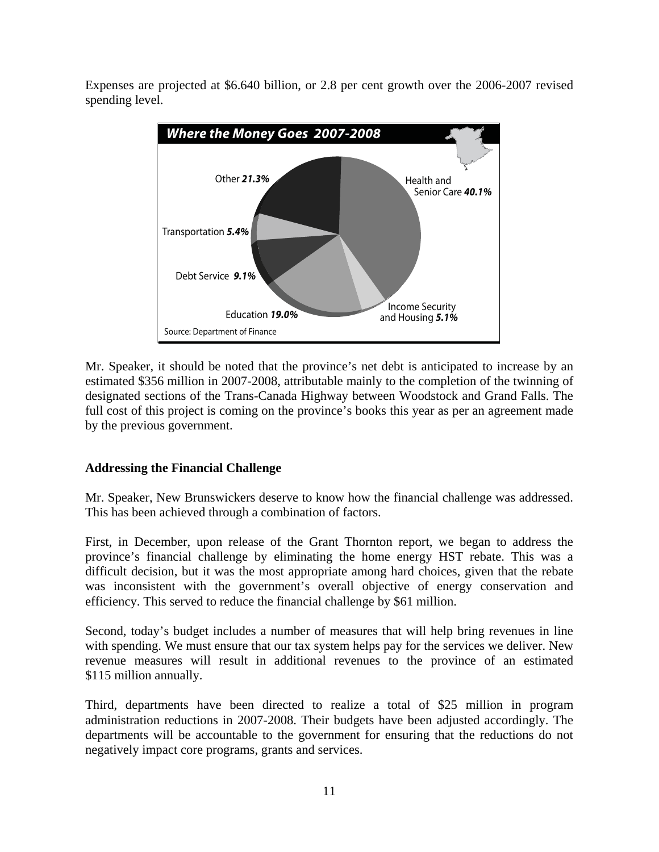<span id="page-10-0"></span>Expenses are projected at \$6.640 billion, or 2.8 per cent growth over the 2006-2007 revised spending level.



Mr. Speaker, it should be noted that the province's net debt is anticipated to increase by an estimated \$356 million in 2007-2008, attributable mainly to the completion of the twinning of designated sections of the Trans-Canada Highway between Woodstock and Grand Falls. The full cost of this project is coming on the province's books this year as per an agreement made by the previous government.

## **Addressing the Financial Challenge**

Mr. Speaker, New Brunswickers deserve to know how the financial challenge was addressed. This has been achieved through a combination of factors.

First, in December, upon release of the Grant Thornton report, we began to address the province's financial challenge by eliminating the home energy HST rebate. This was a difficult decision, but it was the most appropriate among hard choices, given that the rebate was inconsistent with the government's overall objective of energy conservation and efficiency. This served to reduce the financial challenge by \$61 million.

Second, today's budget includes a number of measures that will help bring revenues in line with spending. We must ensure that our tax system helps pay for the services we deliver. New revenue measures will result in additional revenues to the province of an estimated \$115 million annually.

Third, departments have been directed to realize a total of \$25 million in program administration reductions in 2007-2008. Their budgets have been adjusted accordingly. The departments will be accountable to the government for ensuring that the reductions do not negatively impact core programs, grants and services.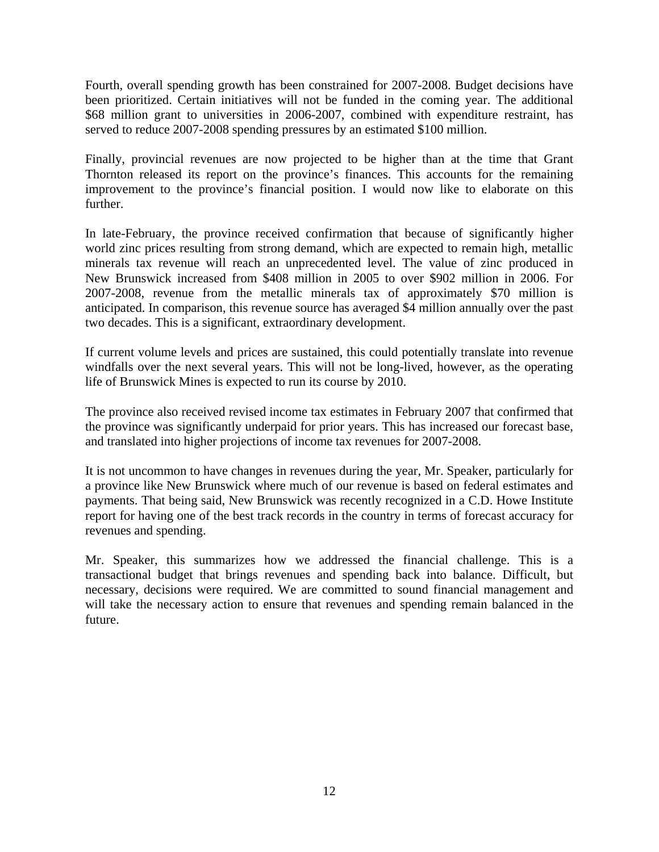Fourth, overall spending growth has been constrained for 2007-2008. Budget decisions have been prioritized. Certain initiatives will not be funded in the coming year. The additional \$68 million grant to universities in 2006-2007, combined with expenditure restraint, has served to reduce 2007-2008 spending pressures by an estimated \$100 million.

Finally, provincial revenues are now projected to be higher than at the time that Grant Thornton released its report on the province's finances. This accounts for the remaining improvement to the province's financial position. I would now like to elaborate on this further.

In late-February, the province received confirmation that because of significantly higher world zinc prices resulting from strong demand, which are expected to remain high, metallic minerals tax revenue will reach an unprecedented level. The value of zinc produced in New Brunswick increased from \$408 million in 2005 to over \$902 million in 2006. For 2007-2008, revenue from the metallic minerals tax of approximately \$70 million is anticipated. In comparison, this revenue source has averaged \$4 million annually over the past two decades. This is a significant, extraordinary development.

If current volume levels and prices are sustained, this could potentially translate into revenue windfalls over the next several years. This will not be long-lived, however, as the operating life of Brunswick Mines is expected to run its course by 2010.

The province also received revised income tax estimates in February 2007 that confirmed that the province was significantly underpaid for prior years. This has increased our forecast base, and translated into higher projections of income tax revenues for 2007-2008.

It is not uncommon to have changes in revenues during the year, Mr. Speaker, particularly for a province like New Brunswick where much of our revenue is based on federal estimates and payments. That being said, New Brunswick was recently recognized in a C.D. Howe Institute report for having one of the best track records in the country in terms of forecast accuracy for revenues and spending.

Mr. Speaker, this summarizes how we addressed the financial challenge. This is a transactional budget that brings revenues and spending back into balance. Difficult, but necessary, decisions were required. We are committed to sound financial management and will take the necessary action to ensure that revenues and spending remain balanced in the future.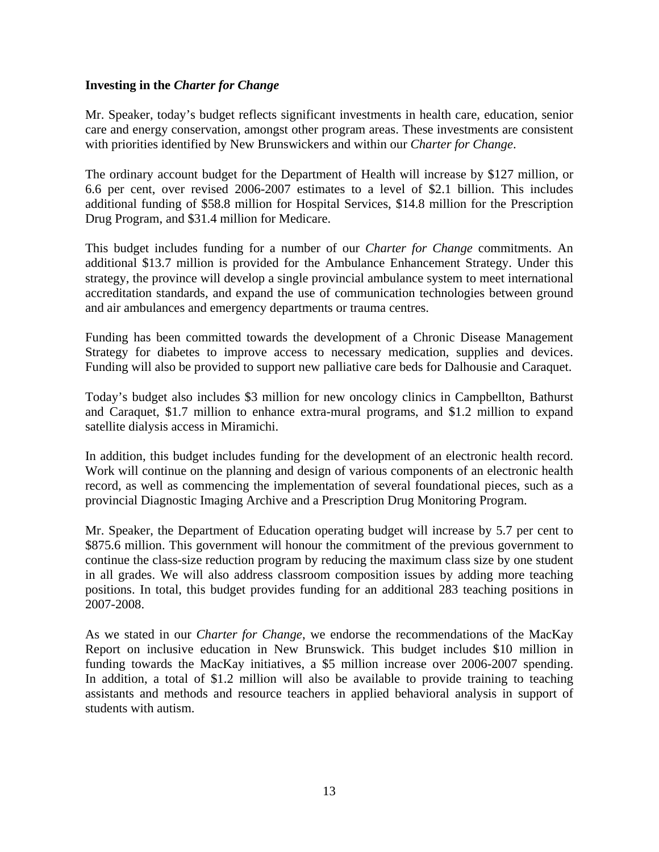#### <span id="page-12-0"></span>**Investing in the** *Charter for Change*

Mr. Speaker, today's budget reflects significant investments in health care, education, senior care and energy conservation, amongst other program areas. These investments are consistent with priorities identified by New Brunswickers and within our *Charter for Change*.

The ordinary account budget for the Department of Health will increase by \$127 million, or 6.6 per cent, over revised 2006-2007 estimates to a level of \$2.1 billion. This includes additional funding of \$58.8 million for Hospital Services, \$14.8 million for the Prescription Drug Program, and \$31.4 million for Medicare.

This budget includes funding for a number of our *Charter for Change* commitments. An additional \$13.7 million is provided for the Ambulance Enhancement Strategy. Under this strategy, the province will develop a single provincial ambulance system to meet international accreditation standards, and expand the use of communication technologies between ground and air ambulances and emergency departments or trauma centres.

Funding has been committed towards the development of a Chronic Disease Management Strategy for diabetes to improve access to necessary medication, supplies and devices. Funding will also be provided to support new palliative care beds for Dalhousie and Caraquet.

Today's budget also includes \$3 million for new oncology clinics in Campbellton, Bathurst and Caraquet, \$1.7 million to enhance extra-mural programs, and \$1.2 million to expand satellite dialysis access in Miramichi.

In addition, this budget includes funding for the development of an electronic health record. Work will continue on the planning and design of various components of an electronic health record, as well as commencing the implementation of several foundational pieces, such as a provincial Diagnostic Imaging Archive and a Prescription Drug Monitoring Program.

Mr. Speaker, the Department of Education operating budget will increase by 5.7 per cent to \$875.6 million. This government will honour the commitment of the previous government to continue the class-size reduction program by reducing the maximum class size by one student in all grades. We will also address classroom composition issues by adding more teaching positions. In total, this budget provides funding for an additional 283 teaching positions in 2007-2008.

As we stated in our *Charter for Change*, we endorse the recommendations of the MacKay Report on inclusive education in New Brunswick. This budget includes \$10 million in funding towards the MacKay initiatives, a \$5 million increase over 2006-2007 spending. In addition, a total of \$1.2 million will also be available to provide training to teaching assistants and methods and resource teachers in applied behavioral analysis in support of students with autism.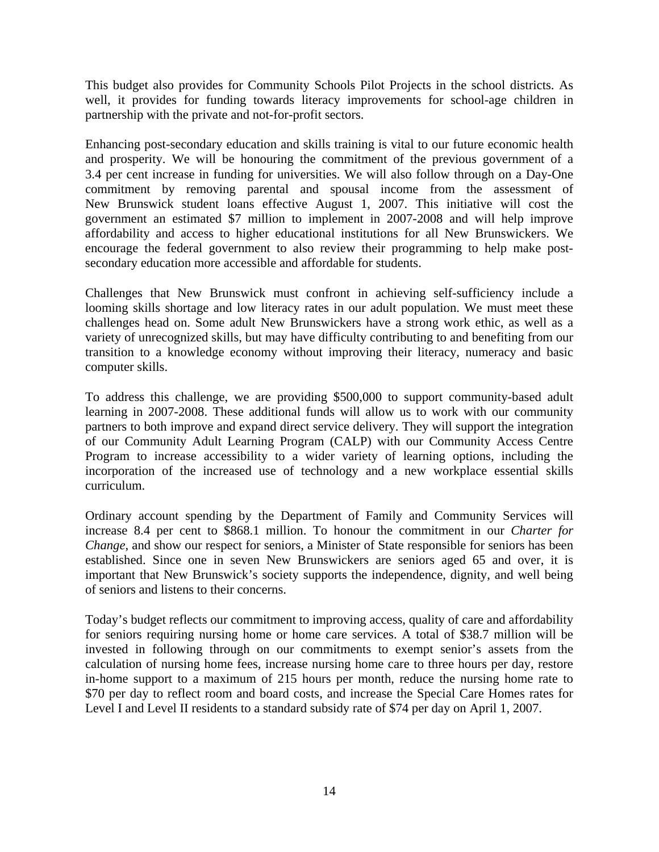This budget also provides for Community Schools Pilot Projects in the school districts. As well, it provides for funding towards literacy improvements for school-age children in partnership with the private and not-for-profit sectors.

Enhancing post-secondary education and skills training is vital to our future economic health and prosperity. We will be honouring the commitment of the previous government of a 3.4 per cent increase in funding for universities. We will also follow through on a Day-One commitment by removing parental and spousal income from the assessment of New Brunswick student loans effective August 1, 2007. This initiative will cost the government an estimated \$7 million to implement in 2007-2008 and will help improve affordability and access to higher educational institutions for all New Brunswickers. We encourage the federal government to also review their programming to help make postsecondary education more accessible and affordable for students.

Challenges that New Brunswick must confront in achieving self-sufficiency include a looming skills shortage and low literacy rates in our adult population. We must meet these challenges head on. Some adult New Brunswickers have a strong work ethic, as well as a variety of unrecognized skills, but may have difficulty contributing to and benefiting from our transition to a knowledge economy without improving their literacy, numeracy and basic computer skills.

To address this challenge, we are providing \$500,000 to support community-based adult learning in 2007-2008. These additional funds will allow us to work with our community partners to both improve and expand direct service delivery. They will support the integration of our Community Adult Learning Program (CALP) with our Community Access Centre Program to increase accessibility to a wider variety of learning options, including the incorporation of the increased use of technology and a new workplace essential skills curriculum.

Ordinary account spending by the Department of Family and Community Services will increase 8.4 per cent to \$868.1 million. To honour the commitment in our *Charter for Change*, and show our respect for seniors, a Minister of State responsible for seniors has been established. Since one in seven New Brunswickers are seniors aged 65 and over, it is important that New Brunswick's society supports the independence, dignity, and well being of seniors and listens to their concerns.

Today's budget reflects our commitment to improving access, quality of care and affordability for seniors requiring nursing home or home care services. A total of \$38.7 million will be invested in following through on our commitments to exempt senior's assets from the calculation of nursing home fees, increase nursing home care to three hours per day, restore in-home support to a maximum of 215 hours per month, reduce the nursing home rate to \$70 per day to reflect room and board costs, and increase the Special Care Homes rates for Level I and Level II residents to a standard subsidy rate of \$74 per day on April 1, 2007.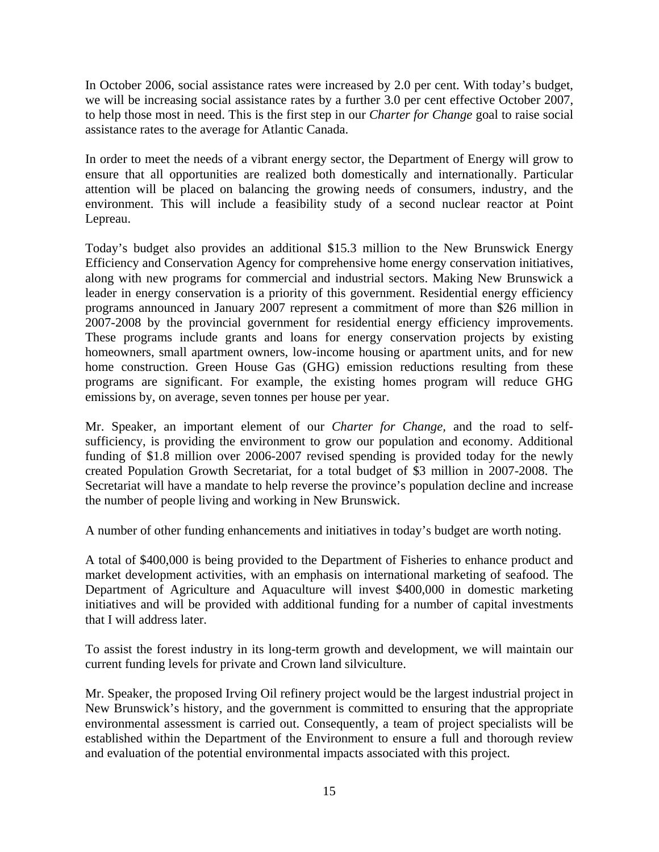In October 2006, social assistance rates were increased by 2.0 per cent. With today's budget, we will be increasing social assistance rates by a further 3.0 per cent effective October 2007, to help those most in need. This is the first step in our *Charter for Change* goal to raise social assistance rates to the average for Atlantic Canada.

In order to meet the needs of a vibrant energy sector, the Department of Energy will grow to ensure that all opportunities are realized both domestically and internationally. Particular attention will be placed on balancing the growing needs of consumers, industry, and the environment. This will include a feasibility study of a second nuclear reactor at Point Lepreau.

Today's budget also provides an additional \$15.3 million to the New Brunswick Energy Efficiency and Conservation Agency for comprehensive home energy conservation initiatives, along with new programs for commercial and industrial sectors. Making New Brunswick a leader in energy conservation is a priority of this government. Residential energy efficiency programs announced in January 2007 represent a commitment of more than \$26 million in 2007-2008 by the provincial government for residential energy efficiency improvements. These programs include grants and loans for energy conservation projects by existing homeowners, small apartment owners, low-income housing or apartment units, and for new home construction. Green House Gas (GHG) emission reductions resulting from these programs are significant. For example, the existing homes program will reduce GHG emissions by, on average, seven tonnes per house per year.

Mr. Speaker, an important element of our *Charter for Change,* and the road to selfsufficiency, is providing the environment to grow our population and economy. Additional funding of \$1.8 million over 2006-2007 revised spending is provided today for the newly created Population Growth Secretariat, for a total budget of \$3 million in 2007-2008. The Secretariat will have a mandate to help reverse the province's population decline and increase the number of people living and working in New Brunswick.

A number of other funding enhancements and initiatives in today's budget are worth noting.

A total of \$400,000 is being provided to the Department of Fisheries to enhance product and market development activities, with an emphasis on international marketing of seafood. The Department of Agriculture and Aquaculture will invest \$400,000 in domestic marketing initiatives and will be provided with additional funding for a number of capital investments that I will address later.

To assist the forest industry in its long-term growth and development, we will maintain our current funding levels for private and Crown land silviculture.

Mr. Speaker, the proposed Irving Oil refinery project would be the largest industrial project in New Brunswick's history, and the government is committed to ensuring that the appropriate environmental assessment is carried out. Consequently, a team of project specialists will be established within the Department of the Environment to ensure a full and thorough review and evaluation of the potential environmental impacts associated with this project.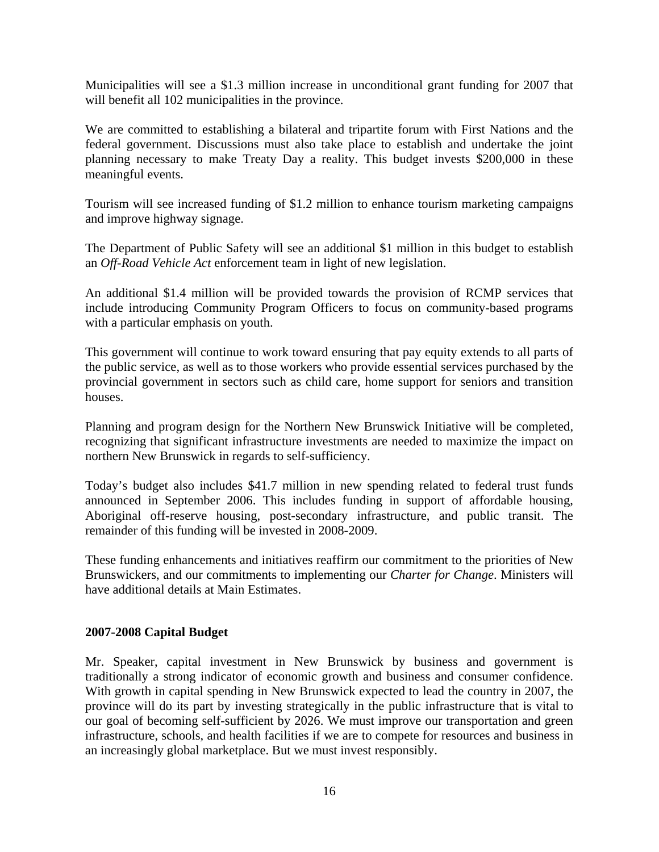<span id="page-15-0"></span>Municipalities will see a \$1.3 million increase in unconditional grant funding for 2007 that will benefit all 102 municipalities in the province.

We are committed to establishing a bilateral and tripartite forum with First Nations and the federal government. Discussions must also take place to establish and undertake the joint planning necessary to make Treaty Day a reality. This budget invests \$200,000 in these meaningful events.

Tourism will see increased funding of \$1.2 million to enhance tourism marketing campaigns and improve highway signage.

The Department of Public Safety will see an additional \$1 million in this budget to establish an *Off-Road Vehicle Act* enforcement team in light of new legislation.

An additional \$1.4 million will be provided towards the provision of RCMP services that include introducing Community Program Officers to focus on community-based programs with a particular emphasis on youth.

This government will continue to work toward ensuring that pay equity extends to all parts of the public service, as well as to those workers who provide essential services purchased by the provincial government in sectors such as child care, home support for seniors and transition houses.

Planning and program design for the Northern New Brunswick Initiative will be completed, recognizing that significant infrastructure investments are needed to maximize the impact on northern New Brunswick in regards to self-sufficiency.

Today's budget also includes \$41.7 million in new spending related to federal trust funds announced in September 2006. This includes funding in support of affordable housing, Aboriginal off-reserve housing, post-secondary infrastructure, and public transit. The remainder of this funding will be invested in 2008-2009.

These funding enhancements and initiatives reaffirm our commitment to the priorities of New Brunswickers, and our commitments to implementing our *Charter for Change*. Ministers will have additional details at Main Estimates.

#### **2007-2008 Capital Budget**

Mr. Speaker, capital investment in New Brunswick by business and government is traditionally a strong indicator of economic growth and business and consumer confidence. With growth in capital spending in New Brunswick expected to lead the country in 2007, the province will do its part by investing strategically in the public infrastructure that is vital to our goal of becoming self-sufficient by 2026. We must improve our transportation and green infrastructure, schools, and health facilities if we are to compete for resources and business in an increasingly global marketplace. But we must invest responsibly.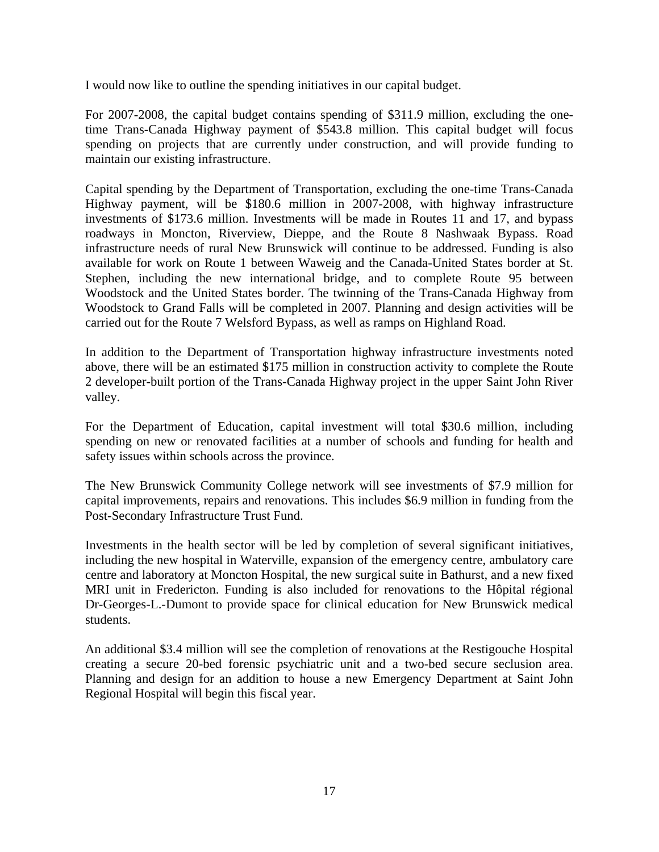I would now like to outline the spending initiatives in our capital budget.

For 2007-2008, the capital budget contains spending of \$311.9 million, excluding the onetime Trans-Canada Highway payment of \$543.8 million. This capital budget will focus spending on projects that are currently under construction, and will provide funding to maintain our existing infrastructure.

Capital spending by the Department of Transportation, excluding the one-time Trans-Canada Highway payment, will be \$180.6 million in 2007-2008, with highway infrastructure investments of \$173.6 million. Investments will be made in Routes 11 and 17, and bypass roadways in Moncton, Riverview, Dieppe, and the Route 8 Nashwaak Bypass. Road infrastructure needs of rural New Brunswick will continue to be addressed. Funding is also available for work on Route 1 between Waweig and the Canada-United States border at St. Stephen, including the new international bridge, and to complete Route 95 between Woodstock and the United States border. The twinning of the Trans-Canada Highway from Woodstock to Grand Falls will be completed in 2007. Planning and design activities will be carried out for the Route 7 Welsford Bypass, as well as ramps on Highland Road.

In addition to the Department of Transportation highway infrastructure investments noted above, there will be an estimated \$175 million in construction activity to complete the Route 2 developer-built portion of the Trans-Canada Highway project in the upper Saint John River valley.

For the Department of Education, capital investment will total \$30.6 million, including spending on new or renovated facilities at a number of schools and funding for health and safety issues within schools across the province.

The New Brunswick Community College network will see investments of \$7.9 million for capital improvements, repairs and renovations. This includes \$6.9 million in funding from the Post-Secondary Infrastructure Trust Fund.

Investments in the health sector will be led by completion of several significant initiatives, including the new hospital in Waterville, expansion of the emergency centre, ambulatory care centre and laboratory at Moncton Hospital, the new surgical suite in Bathurst, and a new fixed MRI unit in Fredericton. Funding is also included for renovations to the Hôpital régional Dr-Georges-L.-Dumont to provide space for clinical education for New Brunswick medical students.

An additional \$3.4 million will see the completion of renovations at the Restigouche Hospital creating a secure 20-bed forensic psychiatric unit and a two-bed secure seclusion area. Planning and design for an addition to house a new Emergency Department at Saint John Regional Hospital will begin this fiscal year.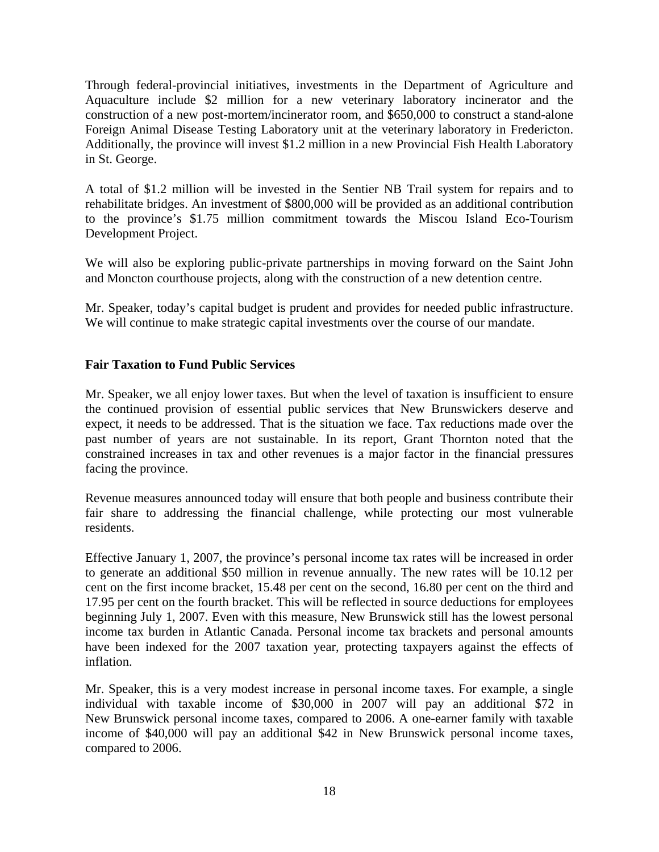<span id="page-17-0"></span>Through federal-provincial initiatives, investments in the Department of Agriculture and Aquaculture include \$2 million for a new veterinary laboratory incinerator and the construction of a new post-mortem/incinerator room, and \$650,000 to construct a stand-alone Foreign Animal Disease Testing Laboratory unit at the veterinary laboratory in Fredericton. Additionally, the province will invest \$1.2 million in a new Provincial Fish Health Laboratory in St. George.

A total of \$1.2 million will be invested in the Sentier NB Trail system for repairs and to rehabilitate bridges. An investment of \$800,000 will be provided as an additional contribution to the province's \$1.75 million commitment towards the Miscou Island Eco-Tourism Development Project.

We will also be exploring public-private partnerships in moving forward on the Saint John and Moncton courthouse projects, along with the construction of a new detention centre.

Mr. Speaker, today's capital budget is prudent and provides for needed public infrastructure. We will continue to make strategic capital investments over the course of our mandate.

## **Fair Taxation to Fund Public Services**

Mr. Speaker, we all enjoy lower taxes. But when the level of taxation is insufficient to ensure the continued provision of essential public services that New Brunswickers deserve and expect, it needs to be addressed. That is the situation we face. Tax reductions made over the past number of years are not sustainable. In its report, Grant Thornton noted that the constrained increases in tax and other revenues is a major factor in the financial pressures facing the province.

Revenue measures announced today will ensure that both people and business contribute their fair share to addressing the financial challenge, while protecting our most vulnerable residents.

Effective January 1, 2007, the province's personal income tax rates will be increased in order to generate an additional \$50 million in revenue annually. The new rates will be 10.12 per cent on the first income bracket, 15.48 per cent on the second, 16.80 per cent on the third and 17.95 per cent on the fourth bracket. This will be reflected in source deductions for employees beginning July 1, 2007. Even with this measure, New Brunswick still has the lowest personal income tax burden in Atlantic Canada. Personal income tax brackets and personal amounts have been indexed for the 2007 taxation year, protecting taxpayers against the effects of inflation.

Mr. Speaker, this is a very modest increase in personal income taxes. For example, a single individual with taxable income of \$30,000 in 2007 will pay an additional \$72 in New Brunswick personal income taxes, compared to 2006. A one-earner family with taxable income of \$40,000 will pay an additional \$42 in New Brunswick personal income taxes, compared to 2006.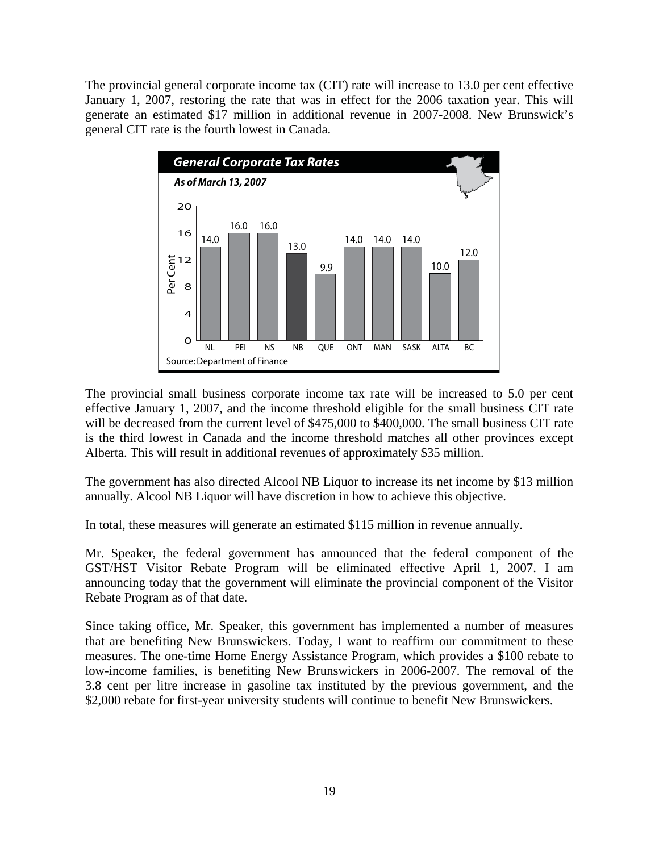The provincial general corporate income tax (CIT) rate will increase to 13.0 per cent effective January 1, 2007, restoring the rate that was in effect for the 2006 taxation year. This will generate an estimated \$17 million in additional revenue in 2007-2008. New Brunswick's general CIT rate is the fourth lowest in Canada.



The provincial small business corporate income tax rate will be increased to 5.0 per cent effective January 1, 2007, and the income threshold eligible for the small business CIT rate will be decreased from the current level of \$475,000 to \$400,000. The small business CIT rate is the third lowest in Canada and the income threshold matches all other provinces except Alberta. This will result in additional revenues of approximately \$35 million.

The government has also directed Alcool NB Liquor to increase its net income by \$13 million annually. Alcool NB Liquor will have discretion in how to achieve this objective.

In total, these measures will generate an estimated \$115 million in revenue annually.

Mr. Speaker, the federal government has announced that the federal component of the GST/HST Visitor Rebate Program will be eliminated effective April 1, 2007. I am announcing today that the government will eliminate the provincial component of the Visitor Rebate Program as of that date.

Since taking office, Mr. Speaker, this government has implemented a number of measures that are benefiting New Brunswickers. Today, I want to reaffirm our commitment to these measures. The one-time Home Energy Assistance Program, which provides a \$100 rebate to low-income families, is benefiting New Brunswickers in 2006-2007. The removal of the 3.8 cent per litre increase in gasoline tax instituted by the previous government, and the \$2,000 rebate for first-year university students will continue to benefit New Brunswickers.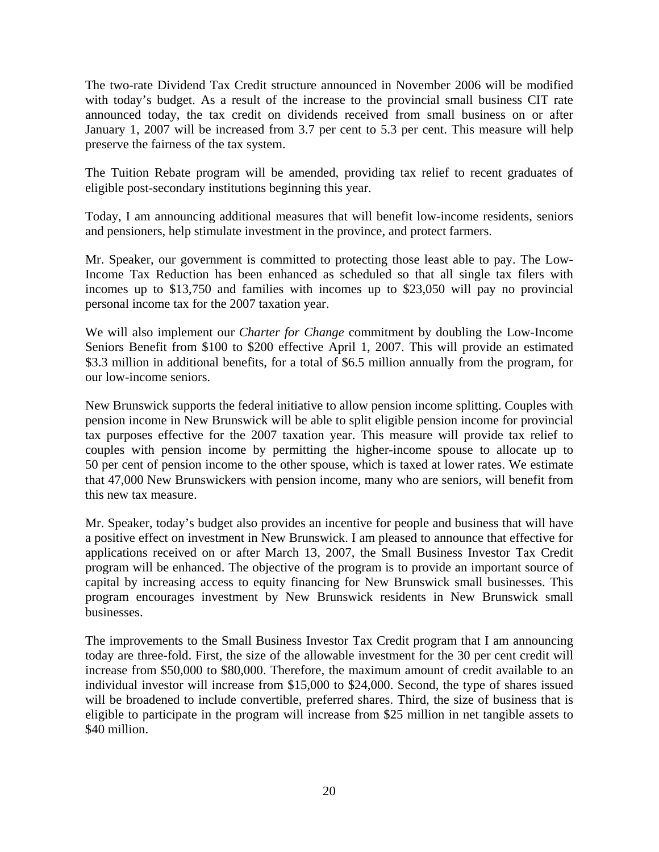The two-rate Dividend Tax Credit structure announced in November 2006 will be modified with today's budget. As a result of the increase to the provincial small business CIT rate announced today, the tax credit on dividends received from small business on or after January 1, 2007 will be increased from 3.7 per cent to 5.3 per cent. This measure will help preserve the fairness of the tax system.

The Tuition Rebate program will be amended, providing tax relief to recent graduates of eligible post-secondary institutions beginning this year.

Today, I am announcing additional measures that will benefit low-income residents, seniors and pensioners, help stimulate investment in the province, and protect farmers.

Mr. Speaker, our government is committed to protecting those least able to pay. The Low-Income Tax Reduction has been enhanced as scheduled so that all single tax filers with incomes up to \$13,750 and families with incomes up to \$23,050 will pay no provincial personal income tax for the 2007 taxation year.

We will also implement our *Charter for Change* commitment by doubling the Low-Income Seniors Benefit from \$100 to \$200 effective April 1, 2007. This will provide an estimated \$3.3 million in additional benefits, for a total of \$6.5 million annually from the program, for our low-income seniors.

New Brunswick supports the federal initiative to allow pension income splitting. Couples with pension income in New Brunswick will be able to split eligible pension income for provincial tax purposes effective for the 2007 taxation year. This measure will provide tax relief to couples with pension income by permitting the higher-income spouse to allocate up to 50 per cent of pension income to the other spouse, which is taxed at lower rates. We estimate that 47,000 New Brunswickers with pension income, many who are seniors, will benefit from this new tax measure.

Mr. Speaker, today's budget also provides an incentive for people and business that will have a positive effect on investment in New Brunswick. I am pleased to announce that effective for applications received on or after March 13, 2007, the Small Business Investor Tax Credit program will be enhanced. The objective of the program is to provide an important source of capital by increasing access to equity financing for New Brunswick small businesses. This program encourages investment by New Brunswick residents in New Brunswick small businesses.

The improvements to the Small Business Investor Tax Credit program that I am announcing today are three-fold. First, the size of the allowable investment for the 30 per cent credit will increase from \$50,000 to \$80,000. Therefore, the maximum amount of credit available to an individual investor will increase from \$15,000 to \$24,000. Second, the type of shares issued will be broadened to include convertible, preferred shares. Third, the size of business that is eligible to participate in the program will increase from \$25 million in net tangible assets to \$40 million.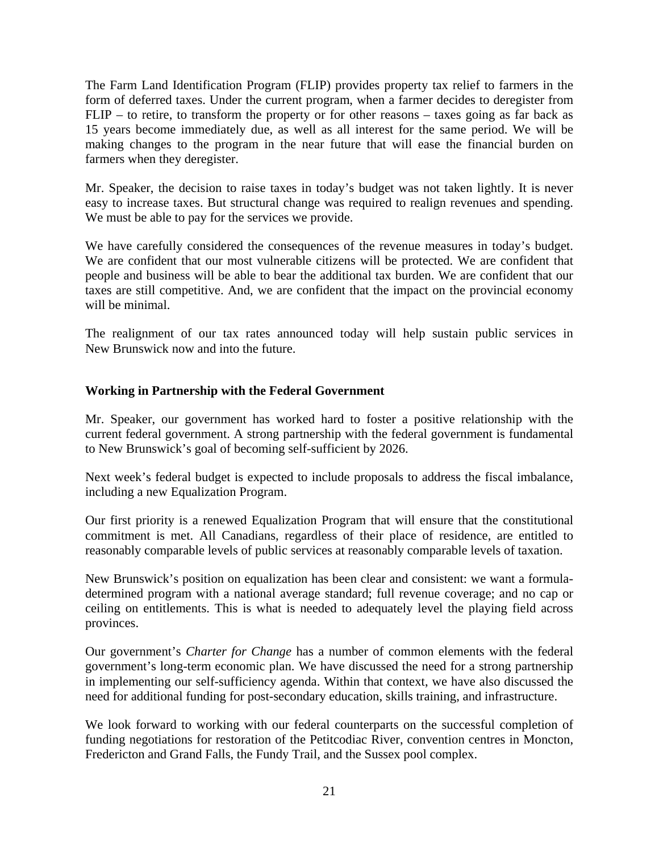<span id="page-20-0"></span>The Farm Land Identification Program (FLIP) provides property tax relief to farmers in the form of deferred taxes. Under the current program, when a farmer decides to deregister from FLIP – to retire, to transform the property or for other reasons – taxes going as far back as 15 years become immediately due, as well as all interest for the same period. We will be making changes to the program in the near future that will ease the financial burden on farmers when they deregister.

Mr. Speaker, the decision to raise taxes in today's budget was not taken lightly. It is never easy to increase taxes. But structural change was required to realign revenues and spending. We must be able to pay for the services we provide.

We have carefully considered the consequences of the revenue measures in today's budget. We are confident that our most vulnerable citizens will be protected. We are confident that people and business will be able to bear the additional tax burden. We are confident that our taxes are still competitive. And, we are confident that the impact on the provincial economy will be minimal.

The realignment of our tax rates announced today will help sustain public services in New Brunswick now and into the future.

#### **Working in Partnership with the Federal Government**

Mr. Speaker, our government has worked hard to foster a positive relationship with the current federal government. A strong partnership with the federal government is fundamental to New Brunswick's goal of becoming self-sufficient by 2026.

Next week's federal budget is expected to include proposals to address the fiscal imbalance, including a new Equalization Program.

Our first priority is a renewed Equalization Program that will ensure that the constitutional commitment is met. All Canadians, regardless of their place of residence, are entitled to reasonably comparable levels of public services at reasonably comparable levels of taxation.

New Brunswick's position on equalization has been clear and consistent: we want a formuladetermined program with a national average standard; full revenue coverage; and no cap or ceiling on entitlements. This is what is needed to adequately level the playing field across provinces.

Our government's *Charter for Change* has a number of common elements with the federal government's long-term economic plan. We have discussed the need for a strong partnership in implementing our self-sufficiency agenda. Within that context, we have also discussed the need for additional funding for post-secondary education, skills training, and infrastructure.

We look forward to working with our federal counterparts on the successful completion of funding negotiations for restoration of the Petitcodiac River, convention centres in Moncton, Fredericton and Grand Falls, the Fundy Trail, and the Sussex pool complex.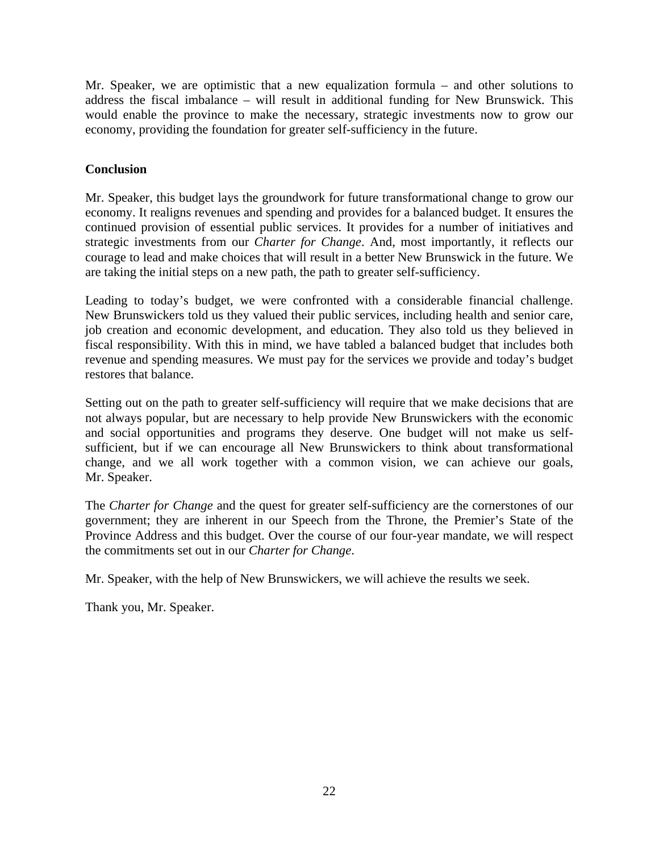<span id="page-21-0"></span>Mr. Speaker, we are optimistic that a new equalization formula – and other solutions to address the fiscal imbalance – will result in additional funding for New Brunswick. This would enable the province to make the necessary, strategic investments now to grow our economy, providing the foundation for greater self-sufficiency in the future.

## **Conclusion**

Mr. Speaker, this budget lays the groundwork for future transformational change to grow our economy. It realigns revenues and spending and provides for a balanced budget. It ensures the continued provision of essential public services. It provides for a number of initiatives and strategic investments from our *Charter for Change*. And, most importantly, it reflects our courage to lead and make choices that will result in a better New Brunswick in the future. We are taking the initial steps on a new path, the path to greater self-sufficiency.

Leading to today's budget, we were confronted with a considerable financial challenge. New Brunswickers told us they valued their public services, including health and senior care, job creation and economic development, and education. They also told us they believed in fiscal responsibility. With this in mind, we have tabled a balanced budget that includes both revenue and spending measures. We must pay for the services we provide and today's budget restores that balance.

Setting out on the path to greater self-sufficiency will require that we make decisions that are not always popular, but are necessary to help provide New Brunswickers with the economic and social opportunities and programs they deserve. One budget will not make us selfsufficient, but if we can encourage all New Brunswickers to think about transformational change, and we all work together with a common vision, we can achieve our goals, Mr. Speaker.

The *Charter for Change* and the quest for greater self-sufficiency are the cornerstones of our government; they are inherent in our Speech from the Throne, the Premier's State of the Province Address and this budget. Over the course of our four-year mandate, we will respect the commitments set out in our *Charter for Change*.

Mr. Speaker, with the help of New Brunswickers, we will achieve the results we seek.

Thank you, Mr. Speaker.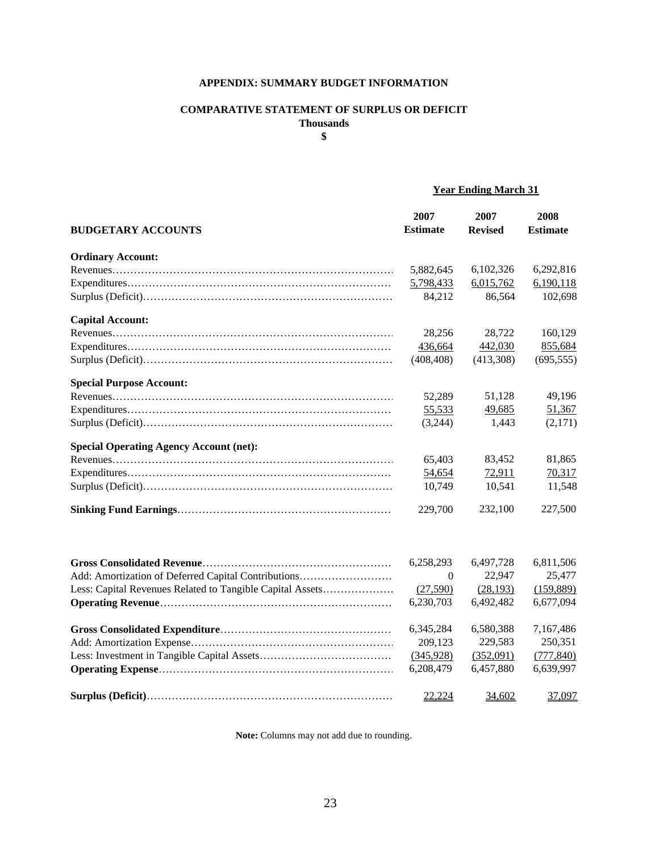#### **APPENDIX: SUMMARY BUDGET INFORMATION**

#### **COMPARATIVE STATEMENT OF SURPLUS OR DEFICIT Thousands**

**\$**

## **Year Ending March 31**

| <b>BUDGETARY ACCOUNTS</b>                                 | 2007<br><b>Estimate</b> | 2007<br><b>Revised</b> | 2008<br><b>Estimate</b> |
|-----------------------------------------------------------|-------------------------|------------------------|-------------------------|
|                                                           |                         |                        |                         |
| <b>Ordinary Account:</b>                                  |                         |                        |                         |
|                                                           | 5,882,645               | 6,102,326              | 6,292,816               |
|                                                           | 5,798,433               | 6,015,762              | 6,190,118               |
|                                                           | 84,212                  | 86,564                 | 102,698                 |
| <b>Capital Account:</b>                                   |                         |                        |                         |
|                                                           | 28,256                  | 28,722                 | 160,129                 |
|                                                           | 436,664                 | 442,030                | 855,684                 |
|                                                           | (408, 408)              | (413,308)              | (695, 555)              |
| <b>Special Purpose Account:</b>                           |                         |                        |                         |
|                                                           | 52,289                  | 51,128                 | 49,196                  |
|                                                           | 55,533                  | 49,685                 | 51,367                  |
|                                                           | (3,244)                 | 1,443                  | (2,171)                 |
| <b>Special Operating Agency Account (net):</b>            |                         |                        |                         |
|                                                           | 65,403                  | 83,452                 | 81,865                  |
|                                                           | 54,654                  | 72,911                 | 70,317                  |
|                                                           | 10,749                  | 10,541                 | 11,548                  |
|                                                           | 229,700                 | 232,100                | 227,500                 |
|                                                           | 6,258,293               | 6,497,728              | 6,811,506               |
| Add: Amortization of Deferred Capital Contributions       | $\theta$                | 22,947                 | 25,477                  |
| Less: Capital Revenues Related to Tangible Capital Assets | (27,590)                | (28, 193)              | (159, 889)              |
|                                                           | 6,230,703               | 6,492,482              | 6,677,094               |
|                                                           |                         |                        |                         |
|                                                           | 6,345,284               | 6,580,388              | 7,167,486               |
|                                                           | 209,123                 | 229,583                | 250,351                 |
|                                                           | (345,928)               | (352,091)              | (777, 840)              |
|                                                           | 6,208,479               | 6,457,880              | 6,639,997               |
|                                                           | 22,224                  | 34,602                 | 37,097                  |

**Note:** Columns may not add due to rounding.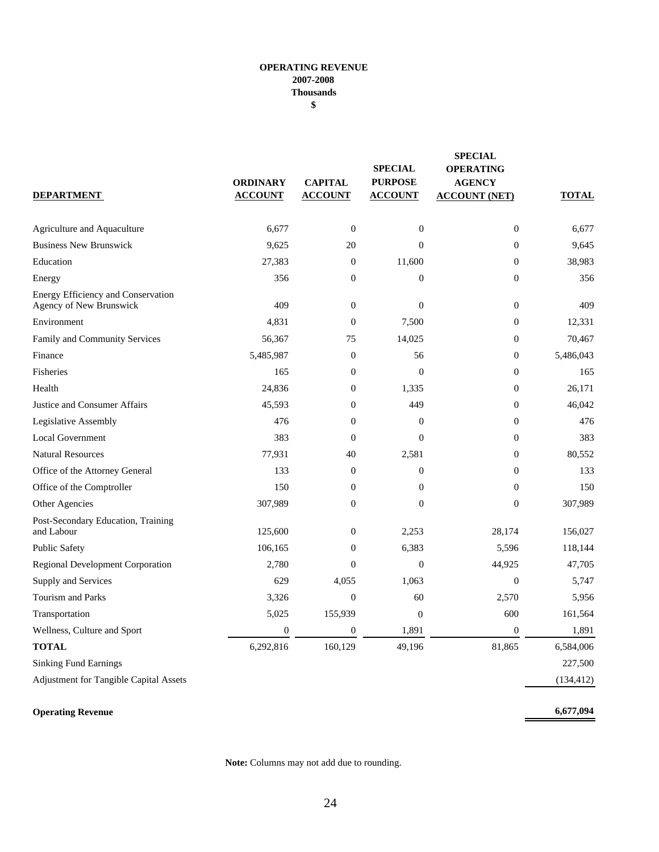#### **OPERATING REVENUE 2007-2008 Thousands \$**

| <b>DEPARTMENT</b>                                             | <b>ORDINARY</b><br><b>ACCOUNT</b> | <b>CAPITAL</b><br><b>ACCOUNT</b> | <b>SPECIAL</b><br><b>PURPOSE</b><br><b>ACCOUNT</b> | <b>SPECIAL</b><br><b>OPERATING</b><br><b>AGENCY</b><br><b>ACCOUNT (NET)</b> | <b>TOTAL</b> |
|---------------------------------------------------------------|-----------------------------------|----------------------------------|----------------------------------------------------|-----------------------------------------------------------------------------|--------------|
| Agriculture and Aquaculture                                   | 6,677                             | $\boldsymbol{0}$                 | $\boldsymbol{0}$                                   | $\boldsymbol{0}$                                                            | 6,677        |
| <b>Business New Brunswick</b>                                 | 9,625                             | 20                               | $\overline{0}$                                     | $\boldsymbol{0}$                                                            | 9,645        |
| Education                                                     | 27,383                            | $\mathbf{0}$                     | 11,600                                             | $\boldsymbol{0}$                                                            | 38,983       |
| Energy                                                        | 356                               | $\boldsymbol{0}$                 | $\overline{0}$                                     | $\boldsymbol{0}$                                                            | 356          |
| Energy Efficiency and Conservation<br>Agency of New Brunswick | 409                               | $\theta$                         | $\overline{0}$                                     | $\overline{0}$                                                              | 409          |
| Environment                                                   | 4,831                             | $\theta$                         | 7,500                                              | $\overline{0}$                                                              | 12,331       |
| Family and Community Services                                 | 56,367                            | 75                               | 14,025                                             | $\boldsymbol{0}$                                                            | 70,467       |
| Finance                                                       | 5,485,987                         | $\boldsymbol{0}$                 | 56                                                 | $\boldsymbol{0}$                                                            | 5,486,043    |
| Fisheries                                                     | 165                               | $\boldsymbol{0}$                 | $\mathbf{0}$                                       | $\boldsymbol{0}$                                                            | 165          |
| Health                                                        | 24,836                            | $\overline{0}$                   | 1,335                                              | $\boldsymbol{0}$                                                            | 26,171       |
| <b>Justice and Consumer Affairs</b>                           | 45,593                            | $\boldsymbol{0}$                 | 449                                                | $\boldsymbol{0}$                                                            | 46,042       |
| Legislative Assembly                                          | 476                               | $\overline{0}$                   | $\overline{0}$                                     | $\overline{0}$                                                              | 476          |
| <b>Local Government</b>                                       | 383                               | $\overline{0}$                   | $\overline{0}$                                     | $\boldsymbol{0}$                                                            | 383          |
| <b>Natural Resources</b>                                      | 77,931                            | 40                               | 2,581                                              | $\overline{0}$                                                              | 80,552       |
| Office of the Attorney General                                | 133                               | $\mathbf{0}$                     | $\boldsymbol{0}$                                   | $\boldsymbol{0}$                                                            | 133          |
| Office of the Comptroller                                     | 150                               | $\mathbf{0}$                     | $\theta$                                           | $\boldsymbol{0}$                                                            | 150          |
| Other Agencies                                                | 307,989                           | $\boldsymbol{0}$                 | $\boldsymbol{0}$                                   | $\mathbf{0}$                                                                | 307,989      |
| Post-Secondary Education, Training<br>and Labour              | 125,600                           | $\boldsymbol{0}$                 | 2,253                                              | 28,174                                                                      | 156,027      |
| <b>Public Safety</b>                                          | 106,165                           | $\mathbf{0}$                     | 6,383                                              | 5,596                                                                       | 118,144      |
| <b>Regional Development Corporation</b>                       | 2,780                             | $\overline{0}$                   | $\overline{0}$                                     | 44,925                                                                      | 47,705       |
| Supply and Services                                           | 629                               | 4,055                            | 1,063                                              | $\overline{0}$                                                              | 5,747        |
| Tourism and Parks                                             | 3,326                             | $\boldsymbol{0}$                 | 60                                                 | 2,570                                                                       | 5,956        |
| Transportation                                                | 5,025                             | 155,939                          | $\overline{0}$                                     | 600                                                                         | 161,564      |
| Wellness, Culture and Sport                                   | $\overline{0}$                    | $\overline{0}$                   | 1,891                                              | $\boldsymbol{0}$                                                            | 1,891        |
| <b>TOTAL</b>                                                  | 6,292,816                         | 160,129                          | 49,196                                             | 81,865                                                                      | 6,584,006    |
| <b>Sinking Fund Earnings</b>                                  |                                   |                                  |                                                    |                                                                             | 227,500      |
| <b>Adjustment for Tangible Capital Assets</b>                 |                                   |                                  |                                                    |                                                                             | (134, 412)   |

## **Operating Revenue**

**Note:** Columns may not add due to rounding.

**6,677,094**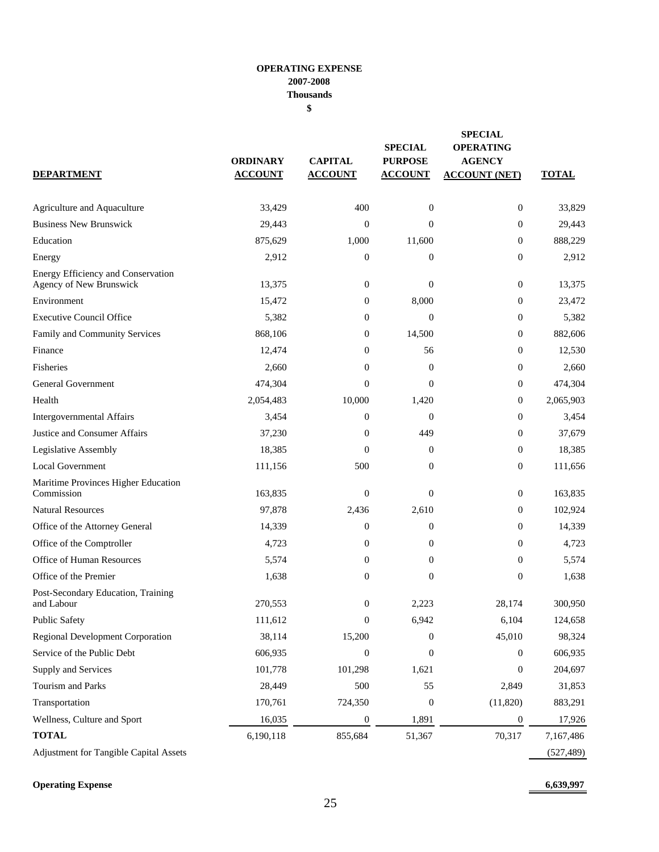#### **OPERATING EXPENSE 2007-2008 Thousands \$**

| <b>DEPARTMENT</b>                                             | <b>ORDINARY</b><br><b>ACCOUNT</b> | <b>CAPITAL</b><br><b>ACCOUNT</b> | <b>SPECIAL</b><br><b>PURPOSE</b><br><b>ACCOUNT</b> | <b>SPECIAL</b><br><b>OPERATING</b><br><b>AGENCY</b><br><b>ACCOUNT (NET)</b> | <b>TOTAL</b> |
|---------------------------------------------------------------|-----------------------------------|----------------------------------|----------------------------------------------------|-----------------------------------------------------------------------------|--------------|
| Agriculture and Aquaculture                                   | 33,429                            | 400                              | $\boldsymbol{0}$                                   | $\boldsymbol{0}$                                                            | 33,829       |
| <b>Business New Brunswick</b>                                 | 29,443                            | $\mathbf{0}$                     | $\Omega$                                           | $\mathbf{0}$                                                                | 29,443       |
| Education                                                     | 875,629                           | 1,000                            | 11,600                                             | $\mathbf{0}$                                                                | 888,229      |
| Energy                                                        | 2,912                             | $\mathbf{0}$                     | $\mathbf{0}$                                       | $\overline{0}$                                                              | 2,912        |
| Energy Efficiency and Conservation<br>Agency of New Brunswick | 13,375                            | $\mathbf{0}$                     | $\overline{0}$                                     | $\boldsymbol{0}$                                                            | 13,375       |
| Environment                                                   | 15,472                            | $\boldsymbol{0}$                 | 8,000                                              | $\boldsymbol{0}$                                                            | 23,472       |
| <b>Executive Council Office</b>                               | 5,382                             | $\overline{0}$                   | $\mathbf{0}$                                       | $\boldsymbol{0}$                                                            | 5,382        |
| Family and Community Services                                 | 868,106                           | $\mathbf{0}$                     | 14,500                                             | 0                                                                           | 882,606      |
| Finance                                                       | 12,474                            | $\overline{0}$                   | 56                                                 | $\boldsymbol{0}$                                                            | 12,530       |
| Fisheries                                                     | 2,660                             | $\overline{0}$                   | $\mathbf{0}$                                       | $\boldsymbol{0}$                                                            | 2,660        |
| <b>General Government</b>                                     | 474,304                           | $\mathbf{0}$                     | $\mathbf{0}$                                       | $\boldsymbol{0}$                                                            | 474,304      |
| Health                                                        | 2,054,483                         | 10,000                           | 1,420                                              | $\boldsymbol{0}$                                                            | 2,065,903    |
| Intergovernmental Affairs                                     | 3,454                             | $\overline{0}$                   | $\mathbf{0}$                                       | $\boldsymbol{0}$                                                            | 3,454        |
| Justice and Consumer Affairs                                  | 37,230                            | $\mathbf{0}$                     | 449                                                | $\boldsymbol{0}$                                                            | 37,679       |
| Legislative Assembly                                          | 18,385                            | $\overline{0}$                   | $\boldsymbol{0}$                                   | $\boldsymbol{0}$                                                            | 18,385       |
| <b>Local Government</b>                                       | 111,156                           | 500                              | $\mathbf{0}$                                       | $\boldsymbol{0}$                                                            | 111,656      |
| Maritime Provinces Higher Education<br>Commission             | 163,835                           | $\boldsymbol{0}$                 | $\overline{0}$                                     | $\mathbf{0}$                                                                | 163,835      |
| <b>Natural Resources</b>                                      | 97,878                            | 2,436                            | 2,610                                              | 0                                                                           | 102,924      |
| Office of the Attorney General                                | 14,339                            | $\boldsymbol{0}$                 | 0                                                  | $\boldsymbol{0}$                                                            | 14,339       |
| Office of the Comptroller                                     | 4,723                             | $\boldsymbol{0}$                 | 0                                                  | $\boldsymbol{0}$                                                            | 4,723        |
| <b>Office of Human Resources</b>                              | 5,574                             | $\overline{0}$                   | $\overline{0}$                                     | $\mathbf{0}$                                                                | 5,574        |
| Office of the Premier                                         | 1,638                             | $\boldsymbol{0}$                 | 0                                                  | $\boldsymbol{0}$                                                            | 1,638        |
| Post-Secondary Education, Training<br>and Labour              | 270,553                           | $\overline{0}$                   | 2.223                                              | 28,174                                                                      | 300,950      |
| <b>Public Safety</b>                                          | 111,612                           | $\mathbf{0}$                     | 6,942                                              | 6,104                                                                       | 124,658      |
| <b>Regional Development Corporation</b>                       | 38,114                            | 15,200                           | 0                                                  | 45,010                                                                      | 98,324       |
| Service of the Public Debt                                    | 606,935                           | $\boldsymbol{0}$                 | 0                                                  | 0                                                                           | 606,935      |
| Supply and Services                                           | 101,778                           | 101,298                          | 1,621                                              | $\mathbf{0}$                                                                | 204,697      |
| Tourism and Parks                                             | 28,449                            | 500                              | 55                                                 | 2,849                                                                       | 31,853       |
| Transportation                                                | 170,761                           | 724,350                          | $\boldsymbol{0}$                                   | (11,820)                                                                    | 883,291      |
| Wellness, Culture and Sport                                   | 16,035                            | $\boldsymbol{0}$                 | 1,891                                              | $\mathbf{0}$                                                                | 17,926       |
| <b>TOTAL</b>                                                  | 6,190,118                         | 855,684                          | 51,367                                             | 70,317                                                                      | 7,167,486    |
| Adjustment for Tangible Capital Assets                        |                                   |                                  |                                                    |                                                                             | (527, 489)   |

**Operating Expense 6,639,997**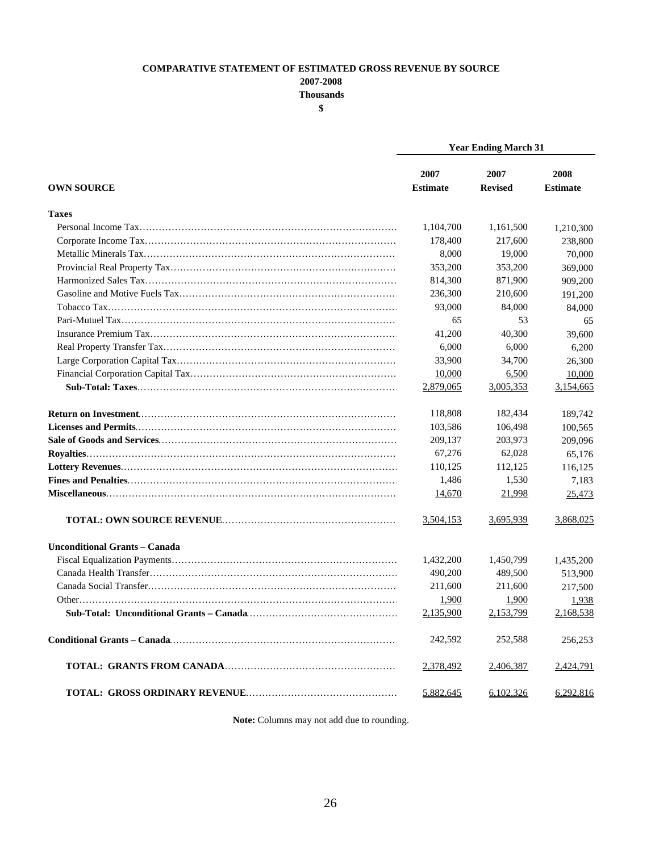#### **COMPARATIVE STATEMENT OF ESTIMATED GROSS REVENUE BY SOURCE**

**2007-2008**

**Thousands**

**\$**

|                                      | <b>Year Ending March 31</b> |                        |                         |  |
|--------------------------------------|-----------------------------|------------------------|-------------------------|--|
| <b>OWN SOURCE</b>                    | 2007<br><b>Estimate</b>     | 2007<br><b>Revised</b> | 2008<br><b>Estimate</b> |  |
| <b>Taxes</b>                         |                             |                        |                         |  |
|                                      | 1,104,700                   | 1,161,500              | 1,210,300               |  |
|                                      | 178,400                     | 217,600                | 238,800                 |  |
|                                      | 8,000                       | 19,000                 | 70,000                  |  |
|                                      | 353,200                     | 353,200                | 369,000                 |  |
|                                      | 814,300                     | 871,900                | 909,200                 |  |
|                                      | 236,300                     | 210,600                | 191,200                 |  |
|                                      | 93,000                      | 84,000                 | 84,000                  |  |
|                                      | 65                          | 53                     | 65                      |  |
|                                      | 41,200                      | 40,300                 | 39,600                  |  |
|                                      | 6,000                       | 6,000                  | 6,200                   |  |
|                                      | 33,900                      | 34,700                 | 26,300                  |  |
|                                      | 10,000                      | 6,500                  | 10,000                  |  |
|                                      | 2,879,065                   | 3,005,353              | 3,154,665               |  |
|                                      | 118,808                     | 182,434                | 189,742                 |  |
|                                      | 103,586                     | 106,498                | 100,565                 |  |
|                                      | 209,137                     | 203,973                | 209,096                 |  |
|                                      | 67,276                      | 62,028                 | 65,176                  |  |
|                                      | 110,125                     | 112,125                | 116,125                 |  |
|                                      | 1,486                       | 1,530                  | 7,183                   |  |
|                                      | 14,670                      | 21,998                 | 25,473                  |  |
|                                      | 3,504,153                   | 3,695,939              | 3,868,025               |  |
| <b>Unconditional Grants – Canada</b> |                             |                        |                         |  |
|                                      | 1,432,200                   | 1,450,799              | 1,435,200               |  |
|                                      | 490,200                     | 489,500                | 513,900                 |  |
|                                      | 211,600                     | 211,600                | 217,500                 |  |
|                                      | 1,900                       | 1,900                  | 1,938                   |  |
|                                      | 2,135,900                   | 2,153,799              | 2,168,538               |  |
|                                      | 242,592                     | 252,588                | 256,253                 |  |
|                                      | 2,378,492                   | 2,406,387              | 2,424,791               |  |
|                                      | 5,882,645                   | 6,102,326              | 6,292,816               |  |

**Note:** Columns may not add due to rounding.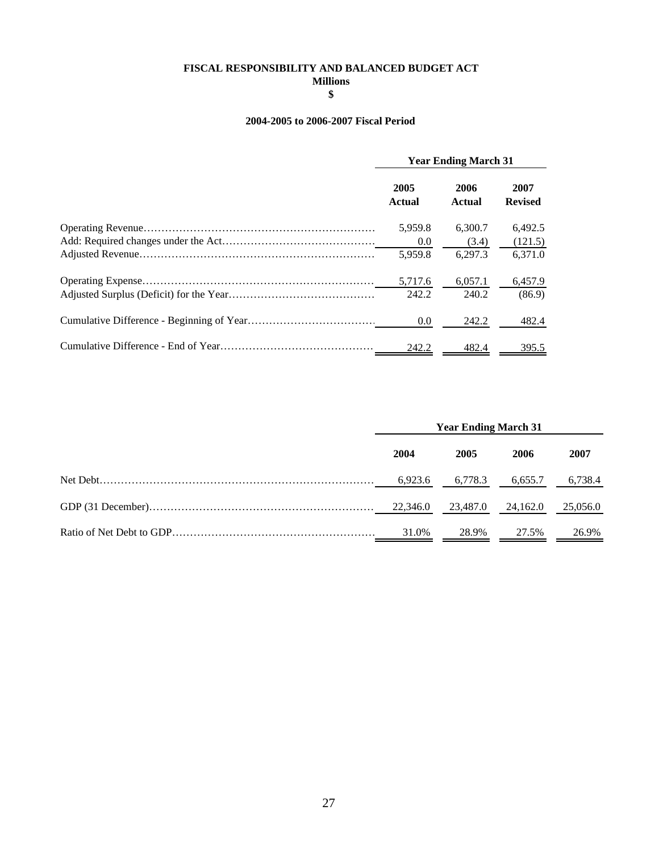## **FISCAL RESPONSIBILITY AND BALANCED BUDGET ACT**

**Millions \$**

#### **2004-2005 to 2006-2007 Fiscal Period**

| <b>Year Ending March 31</b> |                       |                        |  |
|-----------------------------|-----------------------|------------------------|--|
| 2005<br><b>Actual</b>       | 2006<br><b>Actual</b> | 2007<br><b>Revised</b> |  |
| 5,959.8                     | 6.300.7               | 6.492.5                |  |
| 0.0                         | (3.4)                 | (121.5)                |  |
| 5.959.8                     | 6.297.3               | 6,371.0                |  |
| 5,717.6                     | 6,057.1               | 6,457.9                |  |
| 242.2                       | 240.2                 | (86.9)                 |  |
| 0.0                         | 242.2                 | 482.4                  |  |
| 242.2                       | 482.4                 | 395.5                  |  |

| <b>Year Ending March 31</b> |          |          |          |
|-----------------------------|----------|----------|----------|
| 2004                        | 2005     | 2006     | 2007     |
| 6,923.6                     | 6,778.3  | 6,655.7  | 6,738.4  |
| 22.346.0                    | 23.487.0 | 24.162.0 | 25,056.0 |
| 31.0%                       | 28.9%    | 27.5%    | 26.9%    |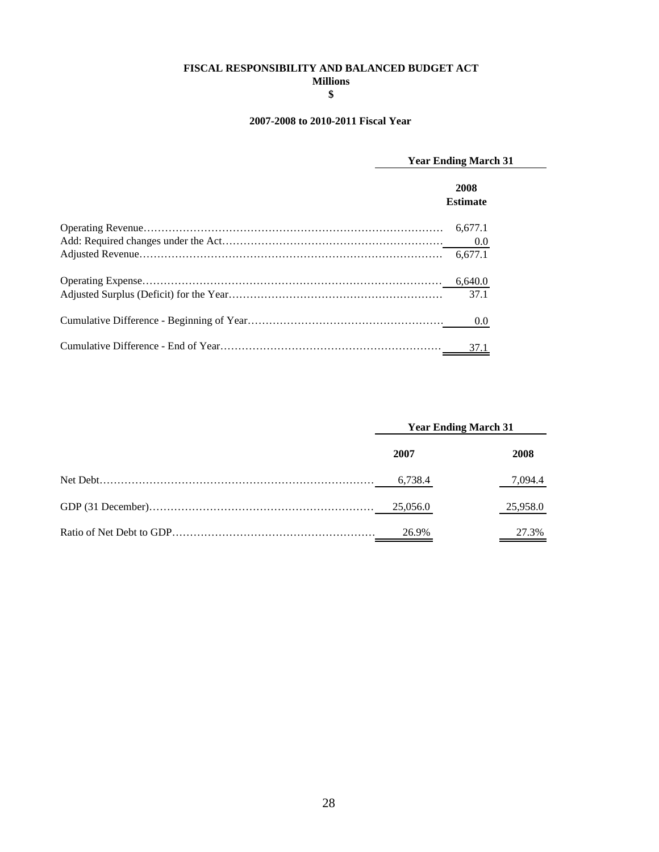#### **Millions FISCAL RESPONSIBILITY AND BALANCED BUDGET ACT**

**\$**

#### **2007-2008 to 2010-2011 Fiscal Year**

| <b>Year Ending March 31</b> |
|-----------------------------|
| 2008<br><b>Estimate</b>     |
| 6.677.1                     |
| 0.0                         |
| 6.677.1                     |
|                             |
| 37.1                        |
| 0.0                         |
| 37.1                        |

| <b>Year Ending March 31</b> |          |
|-----------------------------|----------|
| 2007                        | 2008     |
| 6,738.4                     | 7,094.4  |
| 25,056.0                    | 25,958.0 |
| 26.9%                       | 27.3%    |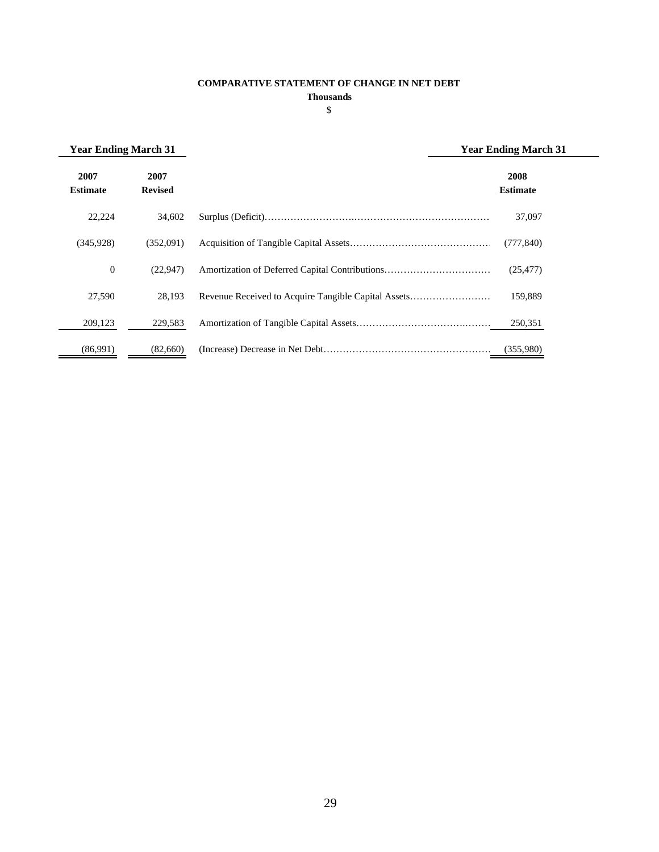#### **COMPARATIVE STATEMENT OF CHANGE IN NET DEBT**

**Thousands**

| × |  |
|---|--|
| ۰ |  |
| × |  |

| <b>Year Ending March 31</b> |                        |                                                     | <b>Year Ending March 31</b> |
|-----------------------------|------------------------|-----------------------------------------------------|-----------------------------|
| 2007<br><b>Estimate</b>     | 2007<br><b>Revised</b> |                                                     | 2008<br><b>Estimate</b>     |
| 22,224                      | 34,602                 |                                                     | 37,097                      |
| (345.928)                   | (352.091)              |                                                     | (777, 840)                  |
| $\boldsymbol{0}$            | (22.947)               |                                                     | (25, 477)                   |
| 27,590                      | 28,193                 | Revenue Received to Acquire Tangible Capital Assets | 159,889                     |
| 209,123                     | 229,583                |                                                     | 250,351                     |
| (86,991)                    | (82,660)               |                                                     | (355,980)                   |